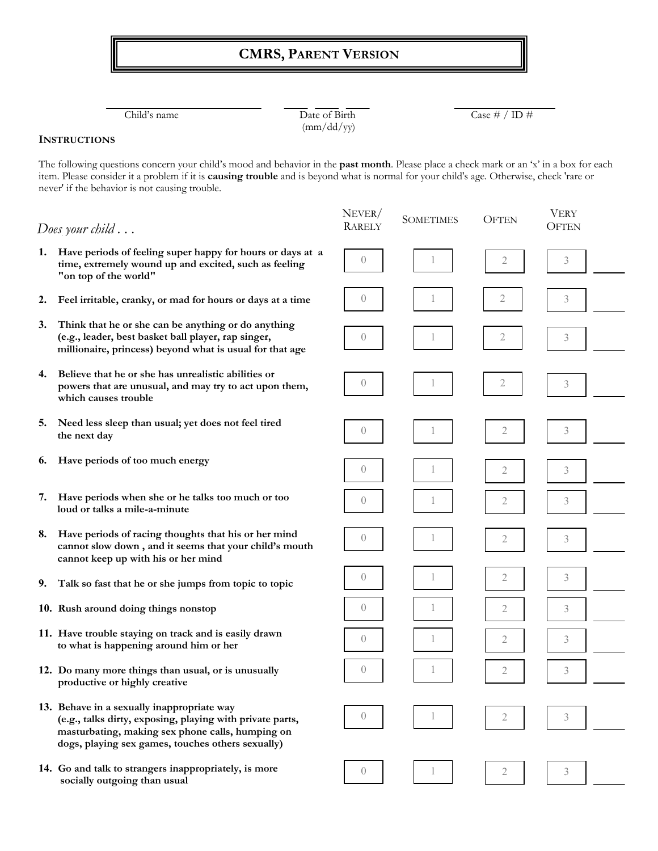## **CMRS, PARENT VERSION**

(mm/dd/yy)

Child's name  $\overline{D}$  ate of Birth  $\overline{C}$  ase # / ID #

## **INSTRUCTIONS**

The following questions concern your child's mood and behavior in the **past month**. Please place a check mark or an 'x' in a box for each item. Please consider it a problem if it is **causing trouble** and is beyond what is normal for your child's age. Otherwise, check 'rare or never' if the behavior is not causing trouble.

|    | Does your child $\ldots$                                                                                                                                                                                         | NEVER/<br><b>RARELY</b> | <b>SOMETIMES</b> | <b>OFTEN</b>   | <b>VERY</b><br><b>OFTEN</b> |  |
|----|------------------------------------------------------------------------------------------------------------------------------------------------------------------------------------------------------------------|-------------------------|------------------|----------------|-----------------------------|--|
| 1. | Have periods of feeling super happy for hours or days at a<br>time, extremely wound up and excited, such as feeling<br>"on top of the world"                                                                     | $\overline{0}$          |                  | $\mathbf{2}$   | 3                           |  |
| 2. | Feel irritable, cranky, or mad for hours or days at a time                                                                                                                                                       | $\theta$                |                  | 2              | 3                           |  |
| 3. | Think that he or she can be anything or do anything<br>(e.g., leader, best basket ball player, rap singer,<br>millionaire, princess) beyond what is usual for that age                                           | $\theta$                | 1                | 2              | 3                           |  |
| 4. | Believe that he or she has unrealistic abilities or<br>powers that are unusual, and may try to act upon them,<br>which causes trouble                                                                            | $\theta$                | 1                | $\mathbf{2}$   | $\mathfrak{Z}$              |  |
| 5. | Need less sleep than usual; yet does not feel tired<br>the next day                                                                                                                                              | $\left( \right)$        |                  | 2              | 3                           |  |
| 6. | Have periods of too much energy                                                                                                                                                                                  | $\left( \right)$        |                  | 2              | 3                           |  |
| 7. | Have periods when she or he talks too much or too<br>loud or talks a mile-a-minute                                                                                                                               | $\theta$                |                  | 2              | 3                           |  |
| 8. | Have periods of racing thoughts that his or her mind<br>cannot slow down, and it seems that your child's mouth<br>cannot keep up with his or her mind                                                            | $\overline{0}$          | 1                | $\mathfrak{2}$ | $\mathfrak{Z}$              |  |
| 9. | Talk so fast that he or she jumps from topic to topic                                                                                                                                                            | $\overline{0}$          | 1                | 2              | 3                           |  |
|    | 10. Rush around doing things nonstop                                                                                                                                                                             | $\theta$                | 1                | 2              | 3                           |  |
|    | 11. Have trouble staying on track and is easily drawn<br>to what is happening around him or her                                                                                                                  | $\overline{0}$          |                  | 2              | 3                           |  |
|    | 12. Do many more things than usual, or is unusually<br>productive or highly creative                                                                                                                             | $\overline{0}$          |                  | 2              | 3                           |  |
|    | 13. Behave in a sexually inappropriate way<br>(e.g., talks dirty, exposing, playing with private parts,<br>masturbating, making sex phone calls, humping on<br>dogs, playing sex games, touches others sexually) | $\overline{0}$          |                  | 2              | 3                           |  |
|    | 14. Go and talk to strangers inappropriately, is more<br>socially outgoing than usual                                                                                                                            | $\overline{0}$          |                  | 2              | 3                           |  |